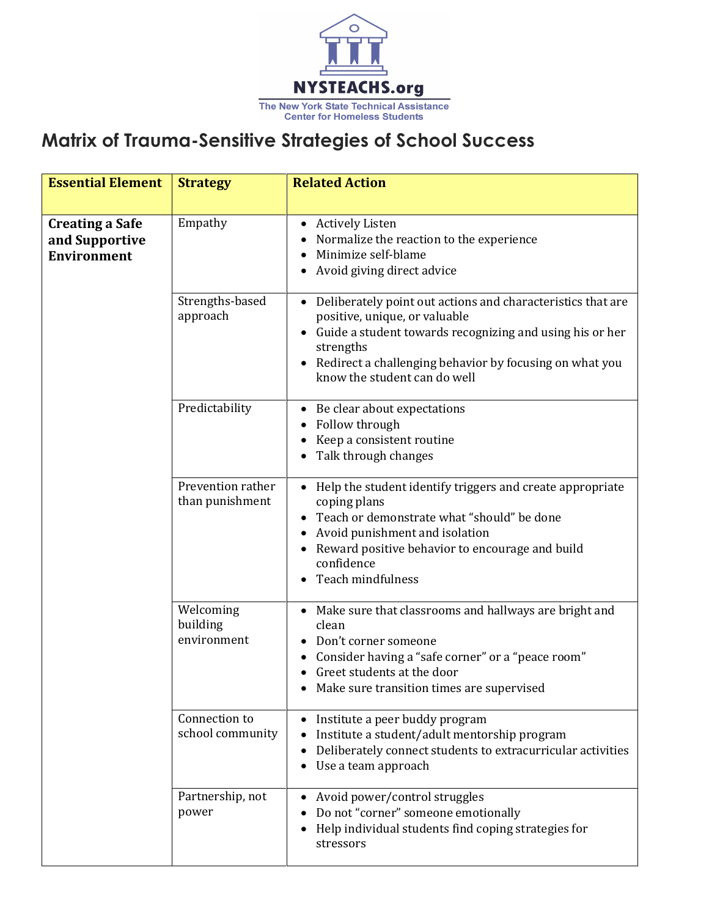

## **Matrix of Trauma-Sensitive Strategies of School Success**

| <b>Essential Element</b>                                       | <b>Strategy</b>                      | <b>Related Action</b>                                                                                                                                                                                                                                              |
|----------------------------------------------------------------|--------------------------------------|--------------------------------------------------------------------------------------------------------------------------------------------------------------------------------------------------------------------------------------------------------------------|
| <b>Creating a Safe</b><br>and Supportive<br><b>Environment</b> | Empathy                              | <b>Actively Listen</b><br>$\bullet$<br>Normalize the reaction to the experience<br>Minimize self-blame<br>Avoid giving direct advice                                                                                                                               |
|                                                                | Strengths-based<br>approach          | • Deliberately point out actions and characteristics that are<br>positive, unique, or valuable<br>Guide a student towards recognizing and using his or her<br>strengths<br>Redirect a challenging behavior by focusing on what you<br>know the student can do well |
|                                                                | Predictability                       | Be clear about expectations<br>$\bullet$<br>Follow through<br>Keep a consistent routine<br>Talk through changes                                                                                                                                                    |
|                                                                | Prevention rather<br>than punishment | Help the student identify triggers and create appropriate<br>coping plans<br>Teach or demonstrate what "should" be done<br>Avoid punishment and isolation<br>Reward positive behavior to encourage and build<br>confidence<br>Teach mindfulness                    |
|                                                                | Welcoming<br>building<br>environment | Make sure that classrooms and hallways are bright and<br>clean<br>Don't corner someone<br>Consider having a "safe corner" or a "peace room"<br>Greet students at the door<br>Make sure transition times are supervised                                             |
|                                                                | Connection to<br>school community    | Institute a peer buddy program<br>Institute a student/adult mentorship program<br>Deliberately connect students to extracurricular activities<br>Use a team approach                                                                                               |
|                                                                | Partnership, not<br>power            | Avoid power/control struggles<br>Do not "corner" someone emotionally<br>Help individual students find coping strategies for<br>stressors                                                                                                                           |